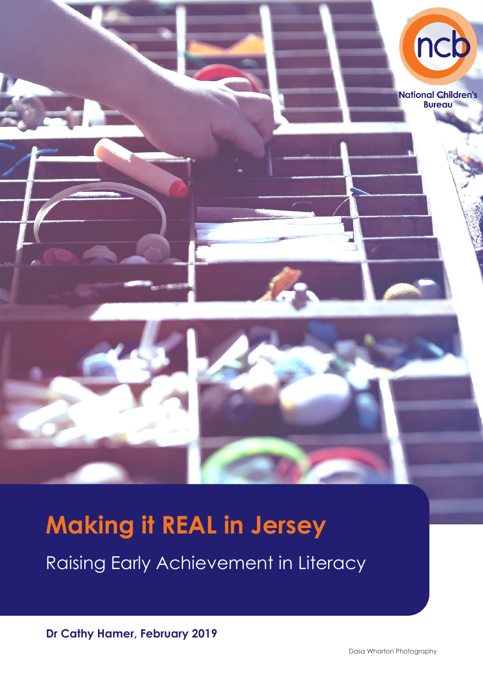

# **Making it REAL in Jersey**

Raising Early Achievement in Literacy

**Dr Cathy Hamer, February 2019**

Dasa Wharton Photography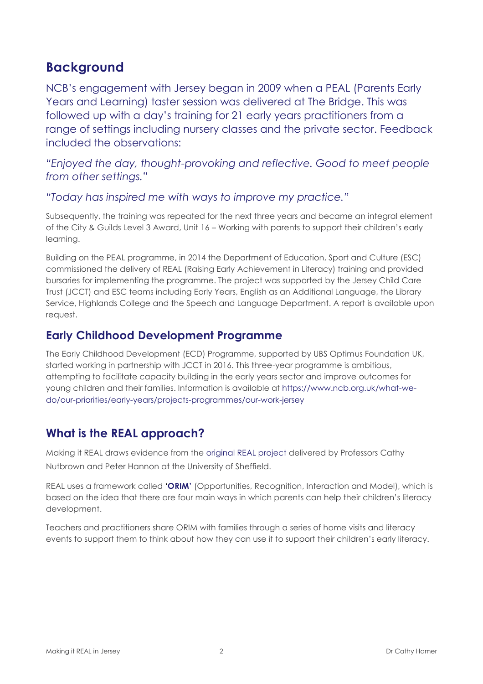# **Background**

NCB's engagement with Jersey began in 2009 when a PEAL (Parents Early Years and Learning) taster session was delivered at The Bridge. This was followed up with a day's training for 21 early years practitioners from a range of settings including nursery classes and the private sector. Feedback included the observations:

*"Enjoyed the day, thought-provoking and reflective. Good to meet people from other settings."* 

*"Today has inspired me with ways to improve my practice."*

Subsequently, the training was repeated for the next three years and became an integral element of the City & Guilds Level 3 Award, Unit 16 – Working with parents to support their children's early learning.

Building on the PEAL programme, in 2014 the Department of Education, Sport and Culture (ESC) commissioned the delivery of REAL (Raising Early Achievement in Literacy) training and provided bursaries for implementing the programme. The project was supported by the Jersey Child Care Trust (JCCT) and ESC teams including Early Years, English as an Additional Language, the Library Service, Highlands College and the Speech and Language Department. A report is available upon request.

# **Early Childhood Development Programme**

The Early Childhood Development (ECD) Programme, supported by UBS Optimus Foundation UK, started working in partnership with JCCT in 2016. This three-year programme is ambitious, attempting to facilitate capacity building in the early years sector and improve outcomes for young children and their families. Information is available at [https://www.ncb.org.uk/what-we](https://www.ncb.org.uk/what-we-do/our-priorities/early-years/projects-programmes/our-work-jersey)[do/our-priorities/early-years/projects-programmes/our-work-jersey](https://www.ncb.org.uk/what-we-do/our-priorities/early-years/projects-programmes/our-work-jersey)

# **What is the REAL approach?**

Making it REAL draws evidence from the [original REAL project](http://www.real-online.group.shef.ac.uk/) delivered by Professors Cathy Nutbrown and Peter Hannon at the University of Sheffield.

REAL uses a framework called **['ORIM'](http://www.real-online.group.shef.ac.uk/docs/THE%20ORIM%20framework%20POSTER%20FINAL.pdf)** (Opportunities, Recognition, Interaction and Model), which is based on the idea that there are four main ways in which parents can help their children's literacy development.

Teachers and practitioners share ORIM with families through a series of home visits and literacy events to support them to think about how they can use it to support their children's early literacy.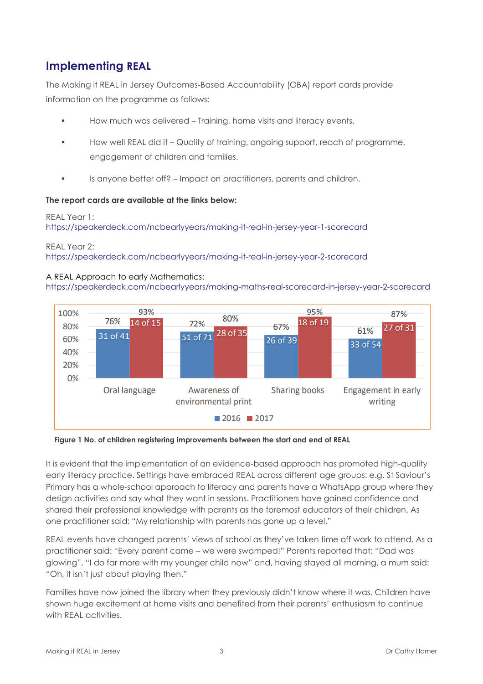# **Implementing REAL**

The Making it REAL in Jersey Outcomes-Based Accountability (OBA) report cards provide information on the programme as follows:

- How much was delivered Training, home visits and literacy events.
- How well REAL did it Quality of training, ongoing support, reach of programme, engagement of children and families.
- Is anyone better off? Impact on practitioners, parents and children.

#### **The report cards are available at the links below:**

#### REAL Year 1:

<https://speakerdeck.com/ncbearlyyears/making-it-real-in-jersey-year-1-scorecard>

REAL Year 2:

[https://speakerdeck.com/ncbearlyyears/making-it-real-in-jersey-year-2-scorecard](https://eur01.safelinks.protection.outlook.com/?url=https%3A%2F%2Fspeakerdeck.com%2Fncbearlyyears%2Fmaking-it-real-in-jersey-year-2-scorecard&data=02%7C01%7C%7C36258513609b4e799ece08d68cfceae2%7C84df9e7fe9f640afb435aaaaaaaaaaaa%7C1%7C0%7C636851415243145496&sdata=V9yR5swnFlD34GBJiFyz9LT2foTFF4kWEUjwv7eQJZc%3D&reserved=0)

#### A REAL Approach to early Mathematics:

<https://speakerdeck.com/ncbearlyyears/making-maths-real-scorecard-in-jersey-year-2-scorecard>



**Figure 1 No. of children registering improvements between the start and end of REAL**

It is evident that the implementation of an evidence-based approach has promoted high-quality early literacy practice. Settings have embraced REAL across different age groups: e.g. St Saviour's Primary has a whole-school approach to literacy and parents have a WhatsApp group where they design activities and say what they want in sessions. Practitioners have gained confidence and shared their professional knowledge with parents as the foremost educators of their children. As one practitioner said: "My relationship with parents has gone up a level."

REAL events have changed parents' views of school as they've taken time off work to attend. As a practitioner said: "Every parent came – we were swamped!" Parents reported that: "Dad was glowing", "I do far more with my younger child now" and, having stayed all morning, a mum said: "Oh, it isn't just about playing then."

Families have now joined the library when they previously didn't know where it was. Children have shown huge excitement at home visits and benefited from their parents' enthusiasm to continue with REAL activities.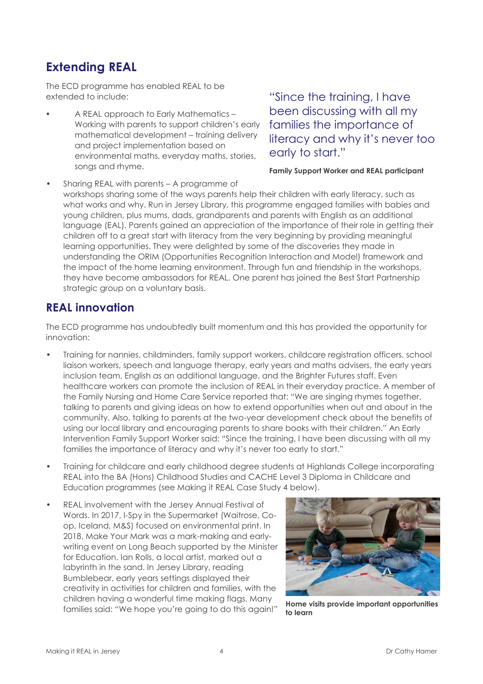# **Extending REAL**

The ECD programme has enabled REAL to be extended to include:

• A REAL approach to Early Mathematics – Working with parents to support children's early mathematical development – training delivery and project implementation based on environmental maths, everyday maths, stories, songs and rhyme.

"Since the training, I have been discussing with all my families the importance of literacy and why it's never too early to start."

#### **Family Support Worker and REAL participant**

• Sharing REAL with parents – A programme of workshops sharing some of the ways parents help their children with early literacy, such as what works and why. Run in Jersey Library, this programme engaged families with babies and young children, plus mums, dads, grandparents and parents with English as an additional language (EAL). Parents gained an appreciation of the importance of their role in getting their children off to a great start with literacy from the very beginning by providing meaningful learning opportunities. They were delighted by some of the discoveries they made in understanding the ORIM (Opportunities Recognition Interaction and Model) framework and the impact of the home learning environment. Through fun and friendship in the workshops, they have become ambassadors for REAL. One parent has joined the Best Start Partnership strategic group on a voluntary basis.

# **REAL innovation**

The ECD programme has undoubtedly built momentum and this has provided the opportunity for innovation:

- Training for nannies, childminders, family support workers, childcare registration officers, school liaison workers, speech and language therapy, early years and maths advisers, the early years inclusion team, English as an additional language, and the Brighter Futures staff. Even healthcare workers can promote the inclusion of REAL in their everyday practice. A member of the Family Nursing and Home Care Service reported that: "We are singing rhymes together, talking to parents and giving ideas on how to extend opportunities when out and about in the community. Also, talking to parents at the two-year development check about the benefits of using our local library and encouraging parents to share books with their children." An Early Intervention Family Support Worker said: "Since the training, I have been discussing with all my families the importance of literacy and why it's never too early to start."
- Training for childcare and early childhood degree students at Highlands College incorporating REAL into the BA (Hons) Childhood Studies and CACHE Level 3 Diploma in Childcare and Education programmes (see Making it REAL Case Study 4 below).
- REAL involvement with the Jersey Annual Festival of Words. In 2017, I-Spy in the Supermarket (Waitrose, Coop, Iceland, M&S) focused on environmental print. In 2018, Make Your Mark was a mark-making and earlywriting event on Long Beach supported by the Minister for Education. Ian Rolls, a local artist, marked out a labyrinth in the sand. In Jersey Library, reading Bumblebear, early years settings displayed their creativity in activities for children and families, with the children having a wonderful time making flags. Many families said: "We hope you're going to do this again!"



**Home visits provide important opportunities to learn**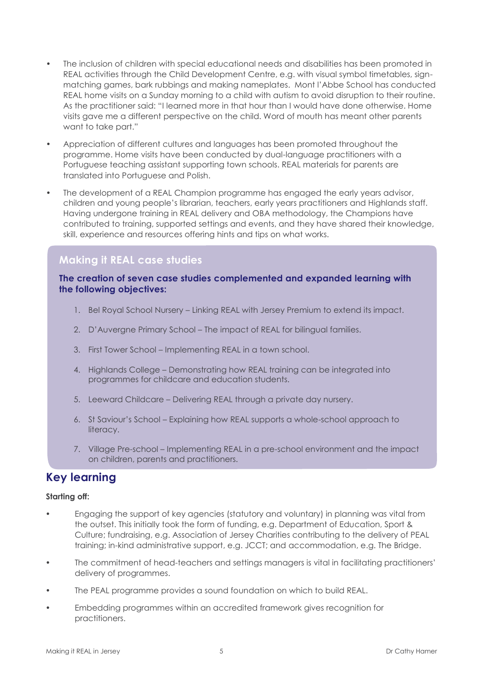- The inclusion of children with special educational needs and disabilities has been promoted in REAL activities through the Child Development Centre, e.g. with visual symbol timetables, signmatching games, bark rubbings and making nameplates. Mont l'Abbe School has conducted REAL home visits on a Sunday morning to a child with autism to avoid disruption to their routine. As the practitioner said: "I learned more in that hour than I would have done otherwise. Home visits gave me a different perspective on the child. Word of mouth has meant other parents want to take part."
- Appreciation of different cultures and languages has been promoted throughout the programme. Home visits have been conducted by dual-language practitioners with a Portuguese teaching assistant supporting town schools. REAL materials for parents are translated into Portuguese and Polish.
- The development of a REAL Champion programme has engaged the early years advisor, children and young people's librarian, teachers, early years practitioners and Highlands staff. Having undergone training in REAL delivery and OBA methodology, the Champions have contributed to training, supported settings and events, and they have shared their knowledge, skill, experience and resources offering hints and tips on what works.

# **Making it REAL case studies**

**The creation of seven case studies complemented and expanded learning with the following objectives:**

- 1. Bel Royal School Nursery Linking REAL with Jersey Premium to extend its impact.
- 2. D'Auvergne Primary School The impact of REAL for bilingual families.
- 3. First Tower School Implementing REAL in a town school.
- 4. Highlands College Demonstrating how REAL training can be integrated into programmes for childcare and education students.
- 5. Leeward Childcare Delivering REAL through a private day nursery.
- 6. St Saviour's School Explaining how REAL supports a whole-school approach to literacy.
- 7. Village Pre-school Implementing REAL in a pre-school environment and the impact on children, parents and practitioners.

# **Key learning**

#### **Starting off:**

- Engaging the support of key agencies (statutory and voluntary) in planning was vital from the outset. This initially took the form of funding, e.g. Department of Education, Sport & Culture; fundraising, e.g. Association of Jersey Charities contributing to the delivery of PEAL training; in-kind administrative support, e.g. JCCT; and accommodation, e.g. The Bridge.
- The commitment of head-teachers and settings managers is vital in facilitating practitioners' delivery of programmes.
- The PEAL programme provides a sound foundation on which to build REAL.
- Embedding programmes within an accredited framework gives recognition for practitioners.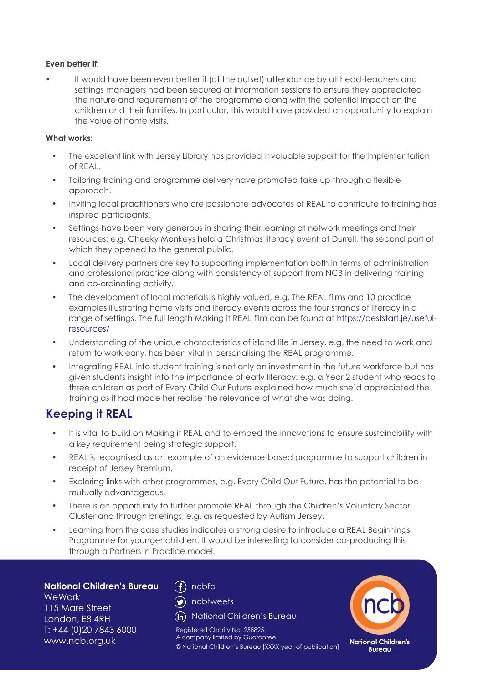#### **Even better if:**

• It would have been even better if (at the outset) attendance by all head-teachers and settings managers had been secured at information sessions to ensure they appreciated the nature and requirements of the programme along with the potential impact on the children and their families. In particular, this would have provided an opportunity to explain the value of home visits.

#### **What works:**

- The excellent link with Jersey Library has provided invaluable support for the implementation of REAL.
- Tailoring training and programme delivery have promoted take up through a flexible approach.
- Inviting local practitioners who are passionate advocates of REAL to contribute to training has inspired participants.
- Settings have been very generous in sharing their learning at network meetings and their resources: e.g. Cheeky Monkeys held a Christmas literacy event at Durrell, the second part of which they opened to the general public.
- Local delivery partners are key to supporting implementation both in terms of administration and professional practice along with consistency of support from NCB in delivering training and co-ordinating activity.
- The development of local materials is highly valued, e.g. The REAL films and 10 practice examples illustrating home visits and literacy events across the four strands of literacy in a range of settings. The full length Making it REAL film can be found at [https://beststart.je/useful](https://beststart.je/useful-resources/)[resources/](https://beststart.je/useful-resources/)
- Understanding of the unique characteristics of island life in Jersey, e.g. the need to work and return to work early, has been vital in personalising the REAL programme.
- Integrating REAL into student training is not only an investment in the future workforce but has given students insight into the importance of early literacy: e.g. a Year 2 student who reads to three children as part of Every Child Our Future explained how much she'd appreciated the training as it had made her realise the relevance of what she was doing.

# **Keeping it REAL**

- It is vital to build on Making it REAL and to embed the innovations to ensure sustainability with a key requirement being strategic support.
- REAL is recognised as an example of an evidence-based programme to support children in receipt of Jersey Premium.
- Exploring links with other programmes, e.g. Every Child Our Future, has the potential to be mutually advantageous.
- There is an opportunity to further promote REAL through the Children's Voluntary Sector Cluster and through briefings, e.g. as requested by Autism Jersey.
- Learning from the case studies indicates a strong desire to introduce a REAL Beginnings Programme for younger children. It would be interesting to consider co-producing this through a Partners in Practice model.

**National Children's Bureau**

**WeWork** 115 Mare Street London, E8 4RH T: +44 (0)20 7843 6000 www.ncb.org.uk

# ncbfb



(in) National Children's Bureau

Registered Charity No. 258825. A company limited by Guarantee. © National Children's Bureau [XXXX year of publication]

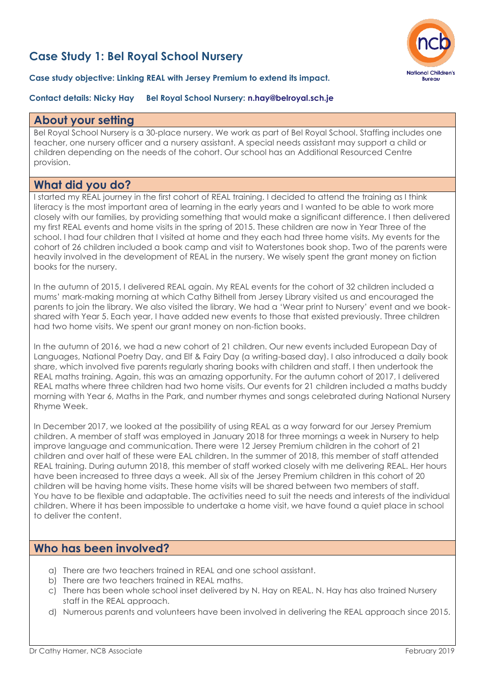# **Case Study 1: Bel Royal School Nursery**



#### **Case study objective: Linking REAL with Jersey Premium to extend its impact.**

#### **Contact details: Nicky Hay Bel Royal School Nursery: [n.hay@belroyal.sch.je](mailto:n.hay@belroyal.sch.je)**

## **About your setting**

Bel Royal School Nursery is a 30-place nursery. We work as part of Bel Royal School. Staffing includes one teacher, one nursery officer and a nursery assistant. A special needs assistant may support a child or children depending on the needs of the cohort. Our school has an Additional Resourced Centre provision.

# **What did you do?**

I started my REAL journey in the first cohort of REAL training. I decided to attend the training as I think literacy is the most important area of learning in the early years and I wanted to be able to work more closely with our families, by providing something that would make a significant difference. I then delivered my first REAL events and home visits in the spring of 2015. These children are now in Year Three of the school. I had four children that I visited at home and they each had three home visits. My events for the cohort of 26 children included a book camp and visit to Waterstones book shop. Two of the parents were heavily involved in the development of REAL in the nursery. We wisely spent the grant money on fiction books for the nursery.

In the autumn of 2015, I delivered REAL again. My REAL events for the cohort of 32 children included a mums' mark-making morning at which Cathy Bithell from Jersey Library visited us and encouraged the parents to join the library. We also visited the library. We had a 'Wear print to Nursery' event and we bookshared with Year 5. Each year, I have added new events to those that existed previously. Three children had two home visits. We spent our grant money on non-fiction books.

In the autumn of 2016, we had a new cohort of 21 children. Our new events included European Day of Languages, National Poetry Day, and Elf & Fairy Day (a writing-based day). I also introduced a daily book share, which involved five parents regularly sharing books with children and staff. I then undertook the REAL maths training. Again, this was an amazing opportunity. For the autumn cohort of 2017, I delivered REAL maths where three children had two home visits. Our events for 21 children included a maths buddy morning with Year 6, Maths in the Park, and number rhymes and songs celebrated during National Nursery Rhyme Week.

In December 2017, we looked at the possibility of using REAL as a way forward for our Jersey Premium children. A member of staff was employed in January 2018 for three mornings a week in Nursery to help improve language and communication. There were 12 Jersey Premium children in the cohort of 21 children and over half of these were EAL children. In the summer of 2018, this member of staff attended REAL training. During autumn 2018, this member of staff worked closely with me delivering REAL. Her hours have been increased to three days a week. All six of the Jersey Premium children in this cohort of 20 children will be having home visits. These home visits will be shared between two members of staff. You have to be flexible and adaptable. The activities need to suit the needs and interests of the individual children. Where it has been impossible to undertake a home visit, we have found a quiet place in school to deliver the content.

# **Who has been involved?**

- a) There are two teachers trained in REAL and one school assistant.
- b) There are two teachers trained in REAL maths.
- c) There has been whole school inset delivered by N. Hay on REAL. N. Hay has also trained Nursery staff in the REAL approach.
- d) Numerous parents and volunteers have been involved in delivering the REAL approach since 2015.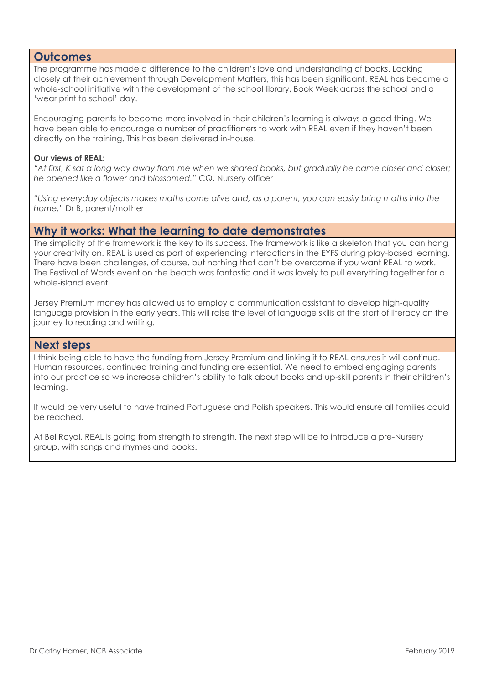#### **Outcomes**

The programme has made a difference to the children's love and understanding of books. Looking closely at their achievement through Development Matters, this has been significant. REAL has become a whole-school initiative with the development of the school library, Book Week across the school and a 'wear print to school' day.

Encouraging parents to become more involved in their children's learning is always a good thing. We have been able to encourage a number of practitioners to work with REAL even if they haven't been directly on the training. This has been delivered in-house.

#### **Our views of REAL:**

*"At first, K sat a long way away from me when we shared books, but gradually he came closer and closer; he opened like a flower and blossomed."* CQ, Nursery officer

*"Using everyday objects makes maths come alive and, as a parent, you can easily bring maths into the home."* Dr B, parent/mother

## **Why it works: What the learning to date demonstrates**

The simplicity of the framework is the key to its success. The framework is like a skeleton that you can hang your creativity on. REAL is used as part of experiencing interactions in the EYFS during play-based learning. There have been challenges, of course, but nothing that can't be overcome if you want REAL to work. The Festival of Words event on the beach was fantastic and it was lovely to pull everything together for a whole-island event.

Jersey Premium money has allowed us to employ a communication assistant to develop high-quality language provision in the early years. This will raise the level of language skills at the start of literacy on the journey to reading and writing.

#### **Next steps**

I think being able to have the funding from Jersey Premium and linking it to REAL ensures it will continue. Human resources, continued training and funding are essential. We need to embed engaging parents into our practice so we increase children's ability to talk about books and up-skill parents in their children's learning.

It would be very useful to have trained Portuguese and Polish speakers. This would ensure all families could be reached.

At Bel Royal, REAL is going from strength to strength. The next step will be to introduce a pre-Nursery group, with songs and rhymes and books.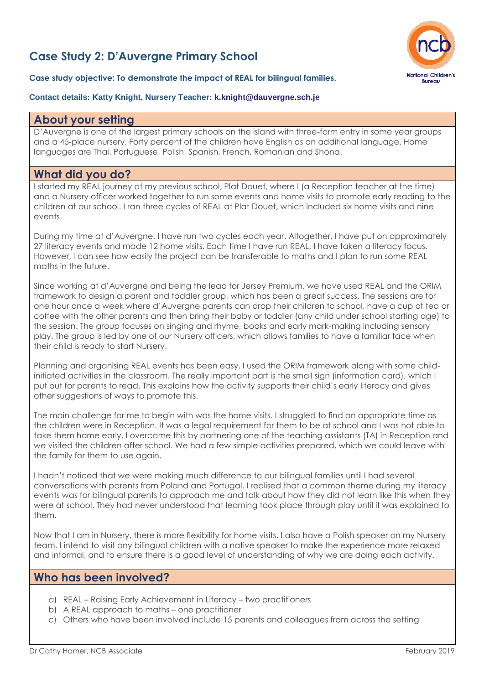# **Case Study 2: D'Auvergne Primary School**



#### **Case study objective: To demonstrate the impact of REAL for bilingual families.**

#### **Contact details: Katty Knight, Nursery Teacher: [k.knight@dauvergne.sch.je](mailto:k.knight@dauvergne.sch.je)**

#### **About your setting**

D'Auvergne is one of the largest primary schools on the island with three-form entry in some year groups and a 45-place nursery. Forty percent of the children have English as an additional language. Home languages are Thai, Portuguese, Polish, Spanish, French, Romanian and Shona.

## **What did you do?**

I started my REAL journey at my previous school, Plat Douet, where I (a Reception teacher at the time) and a Nursery officer worked together to run some events and home visits to promote early reading to the children at our school. I ran three cycles of REAL at Plat Douet, which included six home visits and nine events.

During my time at d'Auvergne, I have run two cycles each year. Altogether, I have put on approximately 27 literacy events and made 12 home visits. Each time I have run REAL, I have taken a literacy focus. However, I can see how easily the project can be transferable to maths and I plan to run some REAL maths in the future.

Since working at d'Auvergne and being the lead for Jersey Premium, we have used REAL and the ORIM framework to design a parent and toddler group, which has been a great success. The sessions are for one hour once a week where d'Auvergne parents can drop their children to school, have a cup of tea or coffee with the other parents and then bring their baby or toddler (any child under school starting age) to the session. The group focuses on singing and rhyme, books and early mark-making including sensory play. The group is led by one of our Nursery officers, which allows families to have a familiar face when their child is ready to start Nursery.

Planning and organising REAL events has been easy. I used the ORIM framework along with some childinitiated activities in the classroom. The really important part is the small sign (information card), which I put out for parents to read. This explains how the activity supports their child's early literacy and gives other suggestions of ways to promote this.

The main challenge for me to begin with was the home visits. I struggled to find an appropriate time as the children were in Reception. It was a legal requirement for them to be at school and I was not able to take them home early. I overcame this by partnering one of the teaching assistants (TA) in Reception and we visited the children after school. We had a few simple activities prepared, which we could leave with the family for them to use again.

I hadn't noticed that we were making much difference to our bilingual families until I had several conversations with parents from Poland and Portugal. I realised that a common theme during my literacy events was for bilingual parents to approach me and talk about how they did not learn like this when they were at school. They had never understood that learning took place through play until it was explained to them.

Now that I am in Nursery, there is more flexibility for home visits. I also have a Polish speaker on my Nursery team. I intend to visit any bilingual children with a native speaker to make the experience more relaxed and informal, and to ensure there is a good level of understanding of why we are doing each activity.

## **Who has been involved?**

- a) REAL Raising Early Achievement in Literacy two practitioners
- b) A REAL approach to maths one practitioner
- c) Others who have been involved include 15 parents and colleagues from across the setting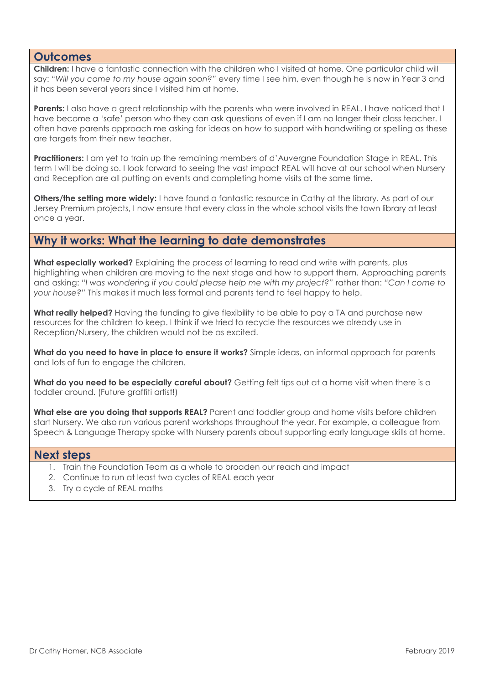#### **Outcomes**

**Children:** I have a fantastic connection with the children who I visited at home. One particular child will say: *"Will you come to my house again soon?"* every time I see him, even though he is now in Year 3 and it has been several years since I visited him at home.

**Parents:** I also have a great relationship with the parents who were involved in REAL. I have noticed that I have become a 'safe' person who they can ask questions of even if I am no longer their class teacher. I often have parents approach me asking for ideas on how to support with handwriting or spelling as these are targets from their new teacher.

**Practitioners:** I am yet to train up the remaining members of d'Auvergne Foundation Stage in REAL. This term I will be doing so. I look forward to seeing the vast impact REAL will have at our school when Nursery and Reception are all putting on events and completing home visits at the same time.

**Others/the setting more widely:** I have found a fantastic resource in Cathy at the library. As part of our Jersey Premium projects, I now ensure that every class in the whole school visits the town library at least once a year.

## **Why it works: What the learning to date demonstrates**

**What especially worked?** Explaining the process of learning to read and write with parents, plus highlighting when children are moving to the next stage and how to support them. Approaching parents and asking: *"I was wondering if you could please help me with my project?"* rather than: *"Can I come to your house?"* This makes it much less formal and parents tend to feel happy to help.

**What really helped?** Having the funding to give flexibility to be able to pay a TA and purchase new resources for the children to keep. I think if we tried to recycle the resources we already use in Reception/Nursery, the children would not be as excited.

**What do you need to have in place to ensure it works?** Simple ideas, an informal approach for parents and lots of fun to engage the children.

**What do you need to be especially careful about?** Getting felt tips out at a home visit when there is a toddler around. (Future graffiti artist!)

**What else are you doing that supports REAL?** Parent and toddler group and home visits before children start Nursery. We also run various parent workshops throughout the year. For example, a colleague from Speech & Language Therapy spoke with Nursery parents about supporting early language skills at home.

#### **Next steps**

- 1. Train the Foundation Team as a whole to broaden our reach and impact
- 2. Continue to run at least two cycles of REAL each year
- 3. Try a cycle of REAL maths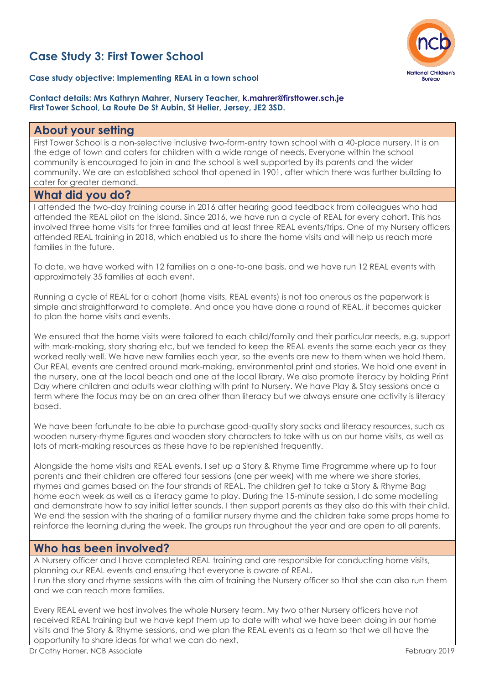# **Case Study 3: First Tower School**



#### **Case study objective: Implementing REAL in a town school**

#### **Contact details: Mrs Kathryn Mahrer, Nursery Teacher, [k.mahrer@firsttower.sch.je](mailto:k.mahrer@firsttower.sch.je) First Tower School, La Route De St Aubin, St Helier, Jersey, JE2 3SD.**

## **About your setting**

First Tower School is a non-selective inclusive two-form-entry town school with a 40-place nursery. It is on the edge of town and caters for children with a wide range of needs. Everyone within the school community is encouraged to join in and the school is well supported by its parents and the wider community. We are an established school that opened in 1901, after which there was further building to cater for greater demand.

#### **What did you do?**

I attended the two-day training course in 2016 after hearing good feedback from colleagues who had attended the REAL pilot on the island. Since 2016, we have run a cycle of REAL for every cohort. This has involved three home visits for three families and at least three REAL events/trips. One of my Nursery officers attended REAL training in 2018, which enabled us to share the home visits and will help us reach more families in the future.

To date, we have worked with 12 families on a one-to-one basis, and we have run 12 REAL events with approximately 35 families at each event.

Running a cycle of REAL for a cohort (home visits, REAL events) is not too onerous as the paperwork is simple and straightforward to complete. And once you have done a round of REAL, it becomes quicker to plan the home visits and events.

We ensured that the home visits were tailored to each child/family and their particular needs, e.g. support with mark-making, story sharing etc, but we tended to keep the REAL events the same each year as they worked really well. We have new families each year, so the events are new to them when we hold them. Our REAL events are centred around mark-making, environmental print and stories. We hold one event in the nursery, one at the local beach and one at the local library. We also promote literacy by holding Print Day where children and adults wear clothing with print to Nursery. We have Play & Stay sessions once a term where the focus may be on an area other than literacy but we always ensure one activity is literacy based.

We have been fortunate to be able to purchase good-quality story sacks and literacy resources, such as wooden nursery-rhyme figures and wooden story characters to take with us on our home visits, as well as lots of mark-making resources as these have to be replenished frequently.

Alongside the home visits and REAL events, I set up a Story & Rhyme Time Programme where up to four parents and their children are offered four sessions (one per week) with me where we share stories, rhymes and games based on the four strands of REAL. The children get to take a Story & Rhyme Bag home each week as well as a literacy game to play. During the 15-minute session, I do some modelling and demonstrate how to say initial letter sounds. I then support parents as they also do this with their child. We end the session with the sharing of a familiar nursery rhyme and the children take some props home to reinforce the learning during the week. The groups run throughout the year and are open to all parents.

## **Who has been involved?**

A Nursery officer and I have completed REAL training and are responsible for conducting home visits, planning our REAL events and ensuring that everyone is aware of REAL. I run the story and rhyme sessions with the aim of training the Nursery officer so that she can also run them and we can reach more families.

Every REAL event we host involves the whole Nursery team. My two other Nursery officers have not received REAL training but we have kept them up to date with what we have been doing in our home visits and the Story & Rhyme sessions, and we plan the REAL events as a team so that we all have the opportunity to share ideas for what we can do next.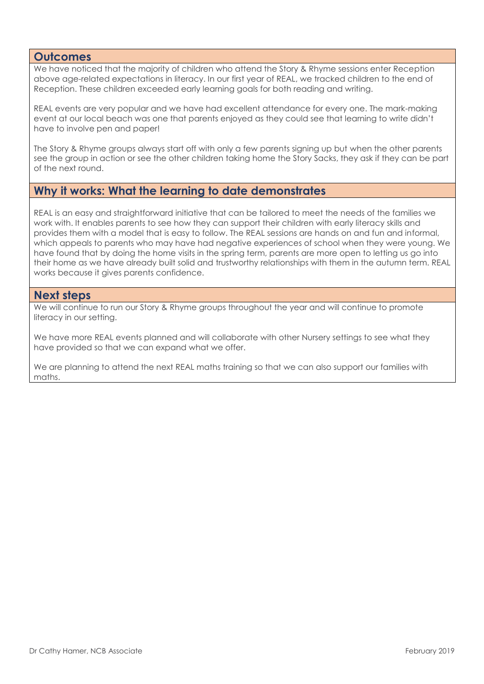#### **Outcomes**

We have noticed that the majority of children who attend the Story & Rhyme sessions enter Reception above age-related expectations in literacy. In our first year of REAL, we tracked children to the end of Reception. These children exceeded early learning goals for both reading and writing.

REAL events are very popular and we have had excellent attendance for every one. The mark-making event at our local beach was one that parents enjoyed as they could see that learning to write didn't have to involve pen and paper!

The Story & Rhyme groups always start off with only a few parents signing up but when the other parents see the group in action or see the other children taking home the Story Sacks, they ask if they can be part of the next round.

## **Why it works: What the learning to date demonstrates**

REAL is an easy and straightforward initiative that can be tailored to meet the needs of the families we work with. It enables parents to see how they can support their children with early literacy skills and provides them with a model that is easy to follow. The REAL sessions are hands on and fun and informal, which appeals to parents who may have had negative experiences of school when they were young. We have found that by doing the home visits in the spring term, parents are more open to letting us go into their home as we have already built solid and trustworthy relationships with them in the autumn term. REAL works because it gives parents confidence.

#### **Next steps**

We will continue to run our Story & Rhyme groups throughout the year and will continue to promote literacy in our setting.

We have more REAL events planned and will collaborate with other Nursery settings to see what they have provided so that we can expand what we offer.

We are planning to attend the next REAL maths training so that we can also support our families with maths.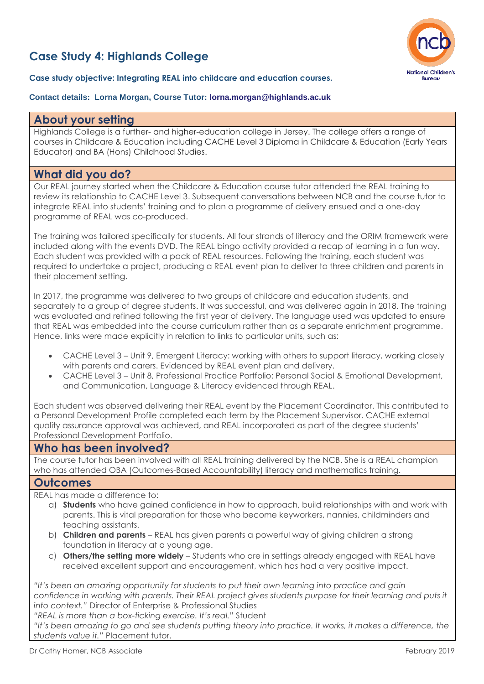# **Case Study 4: Highlands College**



#### **Case study objective: Integrating REAL into childcare and education courses.**

#### **Contact details: Lorna Morgan, Course Tutor: [lorna.morgan@highlands.ac.uk](mailto:lorna.morgan@highlands.ac.uk)**

#### **About your setting**

Highlands College is a further- and higher-education college in Jersey. The college offers a range of courses in Childcare & Education including CACHE Level 3 Diploma in Childcare & Education (Early Years Educator) and BA (Hons) Childhood Studies.

## **What did you do?**

Our REAL journey started when the Childcare & Education course tutor attended the REAL training to review its relationship to CACHE Level 3. Subsequent conversations between NCB and the course tutor to integrate REAL into students' training and to plan a programme of delivery ensued and a one-day programme of REAL was co-produced.

The training was tailored specifically for students. All four strands of literacy and the ORIM framework were included along with the events DVD. The REAL bingo activity provided a recap of learning in a fun way. Each student was provided with a pack of REAL resources. Following the training, each student was required to undertake a project, producing a REAL event plan to deliver to three children and parents in their placement setting.

In 2017, the programme was delivered to two groups of childcare and education students, and separately to a group of degree students. It was successful, and was delivered again in 2018. The training was evaluated and refined following the first year of delivery. The language used was updated to ensure that REAL was embedded into the course curriculum rather than as a separate enrichment programme. Hence, links were made explicitly in relation to links to particular units, such as:

- CACHE Level 3 Unit 9, Emergent Literacy: working with others to support literacy, working closely with parents and carers. Evidenced by REAL event plan and delivery.
- CACHE Level 3 Unit 8, Professional Practice Portfolio: Personal Social & Emotional Development, and Communication, Language & Literacy evidenced through REAL.

Each student was observed delivering their REAL event by the Placement Coordinator. This contributed to a Personal Development Profile completed each term by the Placement Supervisor. CACHE external quality assurance approval was achieved, and REAL incorporated as part of the degree students' Professional Development Portfolio.

## **Who has been involved?**

The course tutor has been involved with all REAL training delivered by the NCB. She is a REAL champion who has attended OBA (Outcomes-Based Accountability) literacy and mathematics training.

#### **Outcomes**

REAL has made a difference to:

- a) **Students** who have gained confidence in how to approach, build relationships with and work with parents. This is vital preparation for those who become keyworkers, nannies, childminders and teaching assistants.
- b) **Children and parents** REAL has given parents a powerful way of giving children a strong foundation in literacy at a young age.
- c) **Others/the setting more widely** Students who are in settings already engaged with REAL have received excellent support and encouragement, which has had a very positive impact.

*"It's been an amazing opportunity for students to put their own learning into practice and gain*  confidence in working with parents. Their REAL project gives students purpose for their learning and puts it *into context."* Director of Enterprise & Professional Studies

*"REAL is more than a box-ticking exercise. It's real."* Student

*"It's been amazing to go and see students putting theory into practice. It works, it makes a difference, the students value it."* Placement tutor.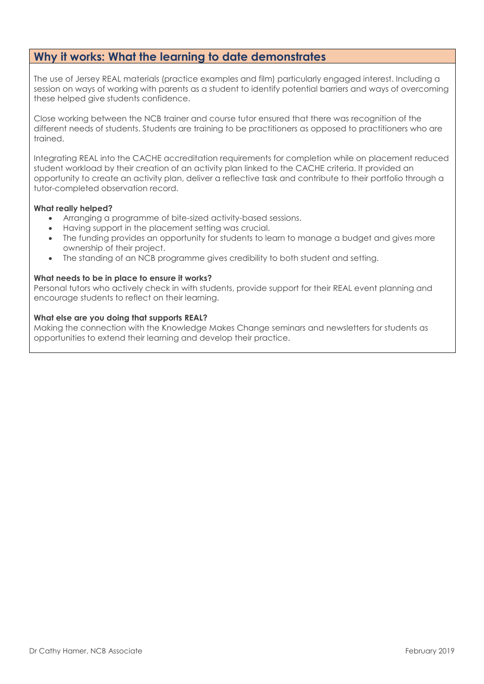# **Why it works: What the learning to date demonstrates**

The use of Jersey REAL materials (practice examples and film) particularly engaged interest. Including a session on ways of working with parents as a student to identify potential barriers and ways of overcoming these helped give students confidence.

Close working between the NCB trainer and course tutor ensured that there was recognition of the different needs of students. Students are training to be practitioners as opposed to practitioners who are trained.

Integrating REAL into the CACHE accreditation requirements for completion while on placement reduced student workload by their creation of an activity plan linked to the CACHE criteria. It provided an opportunity to create an activity plan, deliver a reflective task and contribute to their portfolio through a tutor-completed observation record.

#### **What really helped?**

- Arranging a programme of bite-sized activity-based sessions.
- Having support in the placement setting was crucial.
- The funding provides an opportunity for students to learn to manage a budget and gives more ownership of their project.
- The standing of an NCB programme gives credibility to both student and setting.

#### **What needs to be in place to ensure it works?**

Personal tutors who actively check in with students, provide support for their REAL event planning and encourage students to reflect on their learning.

#### **What else are you doing that supports REAL?**

Making the connection with the Knowledge Makes Change seminars and newsletters for students as opportunities to extend their learning and develop their practice.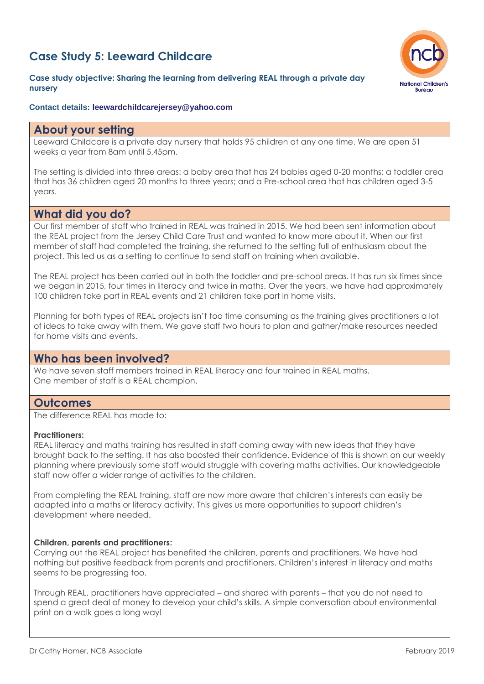# **Case Study 5: Leeward Childcare**



#### **Case study objective: Sharing the learning from delivering REAL through a private day nursery**

#### **Contact details: [leewardchildcarejersey@yahoo.com](mailto:leewardchildcarejersey@yahoo.com)**

## **About your setting**

Leeward Childcare is a private day nursery that holds 95 children at any one time. We are open 51 weeks a year from 8am until 5.45pm.

The setting is divided into three areas: a baby area that has 24 babies aged 0-20 months; a toddler area that has 36 children aged 20 months to three years; and a Pre-school area that has children aged 3-5 years.

## **What did you do?**

Our first member of staff who trained in REAL was trained in 2015. We had been sent information about the REAL project from the Jersey Child Care Trust and wanted to know more about it. When our first member of staff had completed the training, she returned to the setting full of enthusiasm about the project. This led us as a setting to continue to send staff on training when available.

The REAL project has been carried out in both the toddler and pre-school areas. It has run six times since we began in 2015, four times in literacy and twice in maths. Over the years, we have had approximately 100 children take part in REAL events and 21 children take part in home visits.

Planning for both types of REAL projects isn't too time consuming as the training gives practitioners a lot of ideas to take away with them. We gave staff two hours to plan and gather/make resources needed for home visits and events.

## **Who has been involved?**

We have seven staff members trained in REAL literacy and four trained in REAL maths. One member of staff is a REAL champion.

#### **Outcomes**

The difference REAL has made to:

#### **Practitioners:**

REAL literacy and maths training has resulted in staff coming away with new ideas that they have brought back to the setting. It has also boosted their confidence. Evidence of this is shown on our weekly planning where previously some staff would struggle with covering maths activities. Our knowledgeable staff now offer a wider range of activities to the children.

From completing the REAL training, staff are now more aware that children's interests can easily be adapted into a maths or literacy activity. This gives us more opportunities to support children's development where needed.

#### **Children, parents and practitioners:**

Carrying out the REAL project has benefited the children, parents and practitioners. We have had nothing but positive feedback from parents and practitioners. Children's interest in literacy and maths seems to be progressing too.

Through REAL, practitioners have appreciated – and shared with parents – that you do not need to spend a great deal of money to develop your child's skills. A simple conversation about environmental print on a walk goes a long way!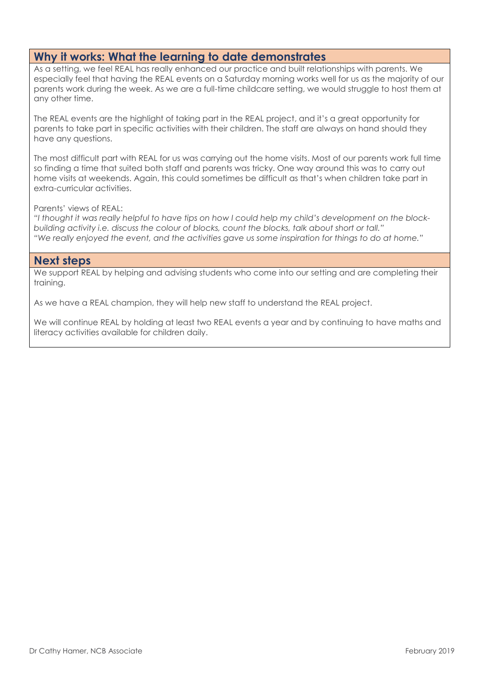# **Why it works: What the learning to date demonstrates**

As a setting, we feel REAL has really enhanced our practice and built relationships with parents. We especially feel that having the REAL events on a Saturday morning works well for us as the majority of our parents work during the week. As we are a full-time childcare setting, we would struggle to host them at any other time.

The REAL events are the highlight of taking part in the REAL project, and it's a great opportunity for parents to take part in specific activities with their children. The staff are always on hand should they have any questions.

The most difficult part with REAL for us was carrying out the home visits. Most of our parents work full time so finding a time that suited both staff and parents was tricky. One way around this was to carry out home visits at weekends. Again, this could sometimes be difficult as that's when children take part in extra-curricular activities.

Parents' views of REAL:

"I thought it was really helpful to have tips on how I could help my child's development on the block*building activity i.e. discuss the colour of blocks, count the blocks, talk about short or tall." "We really enjoyed the event, and the activities gave us some inspiration for things to do at home."*

#### **Next steps**

We support REAL by helping and advising students who come into our setting and are completing their training.

As we have a REAL champion, they will help new staff to understand the REAL project.

We will continue REAL by holding at least two REAL events a year and by continuing to have maths and literacy activities available for children daily.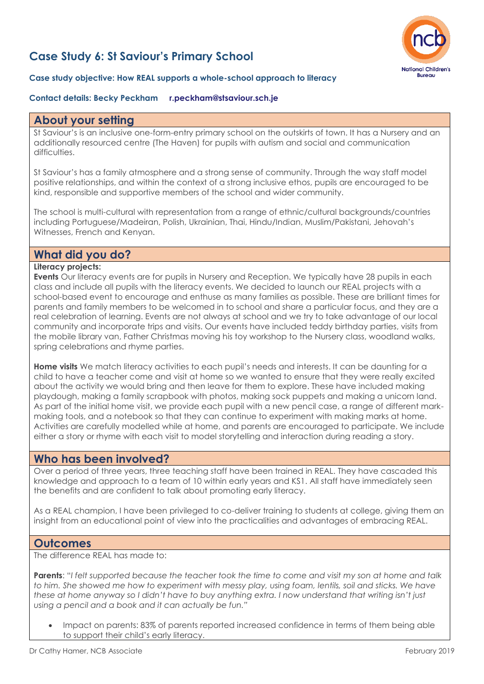# **Case Study 6: St Saviour's Primary School**



#### **Case study objective: How REAL supports a whole-school approach to literacy**

#### **Contact details: Becky Peckham [r.peckham@stsaviour.sch.je](mailto:r.peckham@stsaviour.sch.je)**

## **About your setting**

St Saviour's is an inclusive one-form-entry primary school on the outskirts of town. It has a Nursery and an additionally resourced centre (The Haven) for pupils with autism and social and communication difficulties.

St Saviour's has a family atmosphere and a strong sense of community. Through the way staff model positive relationships, and within the context of a strong inclusive ethos, pupils are encouraged to be kind, responsible and supportive members of the school and wider community.

The school is multi-cultural with representation from a range of ethnic/cultural backgrounds/countries including Portuguese/Madeiran, Polish, Ukrainian, Thai, Hindu/Indian, Muslim/Pakistani, Jehovah's Witnesses, French and Kenyan.

## **What did you do?**

#### **Literacy projects:**

**Events** Our literacy events are for pupils in Nursery and Reception. We typically have 28 pupils in each class and include all pupils with the literacy events. We decided to launch our REAL projects with a school-based event to encourage and enthuse as many families as possible. These are brilliant times for parents and family members to be welcomed in to school and share a particular focus, and they are a real celebration of learning. Events are not always at school and we try to take advantage of our local community and incorporate trips and visits. Our events have included teddy birthday parties, visits from the mobile library van, Father Christmas moving his toy workshop to the Nursery class, woodland walks, spring celebrations and rhyme parties.

**Home visits** We match literacy activities to each pupil's needs and interests. It can be daunting for a child to have a teacher come and visit at home so we wanted to ensure that they were really excited about the activity we would bring and then leave for them to explore. These have included making playdough, making a family scrapbook with photos, making sock puppets and making a unicorn land. As part of the initial home visit, we provide each pupil with a new pencil case, a range of different markmaking tools, and a notebook so that they can continue to experiment with making marks at home. Activities are carefully modelled while at home, and parents are encouraged to participate. We include either a story or rhyme with each visit to model storytelling and interaction during reading a story.

## **Who has been involved?**

Over a period of three years, three teaching staff have been trained in REAL. They have cascaded this knowledge and approach to a team of 10 within early years and KS1. All staff have immediately seen the benefits and are confident to talk about promoting early literacy.

As a REAL champion, I have been privileged to co-deliver training to students at college, giving them an insight from an educational point of view into the practicalities and advantages of embracing REAL.

## **Outcomes**

The difference REAL has made to:

**Parents**: "*I felt supported because the teacher took the time to come and visit my son at home and talk*  to him. She showed me how to experiment with messy play, using foam, lentils, soil and sticks. We have *these at home anyway so I didn't have to buy anything extra. I now understand that writing isn't just using a pencil and a book and it can actually be fun."*

• Impact on parents: 83% of parents reported increased confidence in terms of them being able to support their child's early literacy.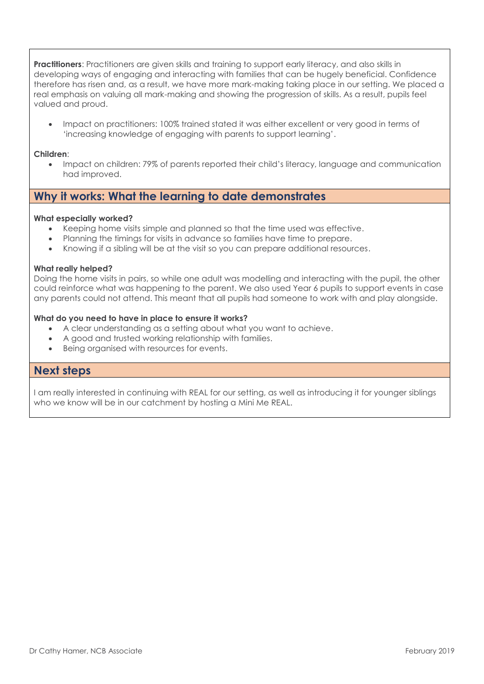**Practitioners**: Practitioners are given skills and training to support early literacy, and also skills in developing ways of engaging and interacting with families that can be hugely beneficial. Confidence therefore has risen and, as a result, we have more mark-making taking place in our setting. We placed a real emphasis on valuing all mark-making and showing the progression of skills. As a result, pupils feel valued and proud.

• Impact on practitioners: 100% trained stated it was either excellent or very good in terms of 'increasing knowledge of engaging with parents to support learning'.

#### **Children**:

• Impact on children: 79% of parents reported their child's literacy, language and communication had improved.

## **Why it works: What the learning to date demonstrates**

#### **What especially worked?**

- Keeping home visits simple and planned so that the time used was effective.
- Planning the timings for visits in advance so families have time to prepare.
- Knowing if a sibling will be at the visit so you can prepare additional resources.

#### **What really helped?**

Doing the home visits in pairs, so while one adult was modelling and interacting with the pupil, the other could reinforce what was happening to the parent. We also used Year 6 pupils to support events in case any parents could not attend. This meant that all pupils had someone to work with and play alongside.

#### **What do you need to have in place to ensure it works?**

- A clear understanding as a setting about what you want to achieve.
- A good and trusted working relationship with families.
- Being organised with resources for events.

## **Next steps**

I am really interested in continuing with REAL for our setting, as well as introducing it for younger siblings who we know will be in our catchment by hosting a Mini Me REAL.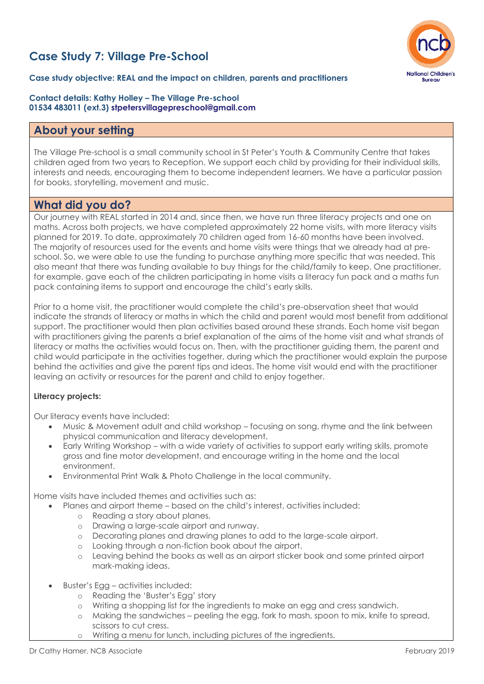# **Case Study 7: Village Pre-School**



#### **Case study objective: REAL and the impact on children, parents and practitioners**

#### **Contact details: Kathy Holley – The Village Pre-school 01534 483011 (ext.3) [stpetersvillagepreschool@gmail.com](mailto:stpetersvillagepreschool@gmail.com)**

# **About your setting**

The Village Pre-school is a small community school in St Peter's Youth & Community Centre that takes children aged from two years to Reception. We support each child by providing for their individual skills, interests and needs, encouraging them to become independent learners. We have a particular passion for books, storytelling, movement and music.

## **What did you do?**

Our journey with REAL started in 2014 and, since then, we have run three literacy projects and one on maths. Across both projects, we have completed approximately 22 home visits, with more literacy visits planned for 2019. To date, approximately 70 children aged from 16-60 months have been involved. The majority of resources used for the events and home visits were things that we already had at preschool. So, we were able to use the funding to purchase anything more specific that was needed. This also meant that there was funding available to buy things for the child/family to keep. One practitioner, for example, gave each of the children participating in home visits a literacy fun pack and a maths fun pack containing items to support and encourage the child's early skills.

Prior to a home visit, the practitioner would complete the child's pre-observation sheet that would indicate the strands of literacy or maths in which the child and parent would most benefit from additional support. The practitioner would then plan activities based around these strands. Each home visit began with practitioners giving the parents a brief explanation of the aims of the home visit and what strands of literacy or maths the activities would focus on. Then, with the practitioner guiding them, the parent and child would participate in the activities together, during which the practitioner would explain the purpose behind the activities and give the parent tips and ideas. The home visit would end with the practitioner leaving an activity or resources for the parent and child to enjoy together.

#### **Literacy projects:**

Our literacy events have included:

- Music & Movement adult and child workshop focusing on song, rhyme and the link between physical communication and literacy development.
- Early Writing Workshop with a wide variety of activities to support early writing skills, promote gross and fine motor development, and encourage writing in the home and the local environment.
- Environmental Print Walk & Photo Challenge in the local community.

Home visits have included themes and activities such as:

- Planes and airport theme based on the child's interest, activities included:
	- o Reading a story about planes.
	- o Drawing a large-scale airport and runway.
	- o Decorating planes and drawing planes to add to the large-scale airport.
	- o Looking through a non-fiction book about the airport.
	- o Leaving behind the books as well as an airport sticker book and some printed airport mark-making ideas.
- Buster's Egg activities included:
	- o Reading the 'Buster's Egg' story
	- o Writing a shopping list for the ingredients to make an egg and cress sandwich.
	- o Making the sandwiches peeling the egg, fork to mash, spoon to mix, knife to spread, scissors to cut cress.
	- o Writing a menu for lunch, including pictures of the ingredients.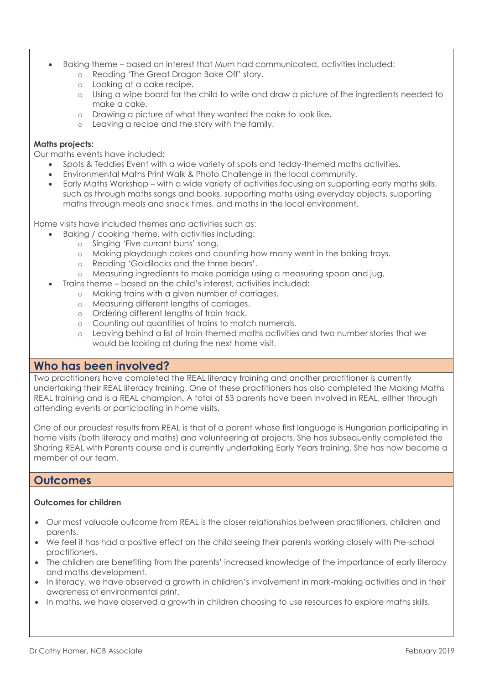- Baking theme based on interest that Mum had communicated, activities included:
	- o Reading 'The Great Dragon Bake Off' story.
	- o Looking at a cake recipe.
	- o Using a wipe board for the child to write and draw a picture of the ingredients needed to make a cake.
	- o Drawing a picture of what they wanted the cake to look like.
	- o Leaving a recipe and the story with the family.

#### **Maths projects:**

Our maths events have included:

- Spots & Teddies Event with a wide variety of spots and teddy-themed maths activities.
- Environmental Maths Print Walk & Photo Challenge in the local community.
- Early Maths Workshop with a wide variety of activities focusing on supporting early maths skills, such as through maths songs and books, supporting maths using everyday objects, supporting maths through meals and snack times, and maths in the local environment.

Home visits have included themes and activities such as:

- Baking / cooking theme, with activities including:
	- o Singing 'Five currant buns' song.
	- o Making playdough cakes and counting how many went in the baking trays.
	- o Reading 'Goldilocks and the three bears'.
	- o Measuring ingredients to make porridge using a measuring spoon and jug.
	- Trains theme based on the child's interest, activities included:
		- o Making trains with a given number of carriages.
		- o Measuring different lengths of carriages.
		- o Ordering different lengths of train track.
		- o Counting out quantities of trains to match numerals.
		- o Leaving behind a list of train-themed maths activities and two number stories that we would be looking at during the next home visit.

## **Who has been involved?**

Two practitioners have completed the REAL literacy training and another practitioner is currently undertaking their REAL literacy training. One of these practitioners has also completed the Making Maths REAL training and is a REAL champion. A total of 53 parents have been involved in REAL, either through attending events or participating in home visits.

One of our proudest results from REAL is that of a parent whose first language is Hungarian participating in home visits (both literacy and maths) and volunteering at projects. She has subsequently completed the Sharing REAL with Parents course and is currently undertaking Early Years training. She has now become a member of our team.

## **Outcomes**

#### **Outcomes for children**

- Our most valuable outcome from REAL is the closer relationships between practitioners, children and parents.
- We feel it has had a positive effect on the child seeing their parents working closely with Pre-school practitioners.
- The children are benefiting from the parents' increased knowledge of the importance of early literacy and maths development.
- In literacy, we have observed a growth in children's involvement in mark-making activities and in their awareness of environmental print.
- In maths, we have observed a growth in children choosing to use resources to explore maths skills.